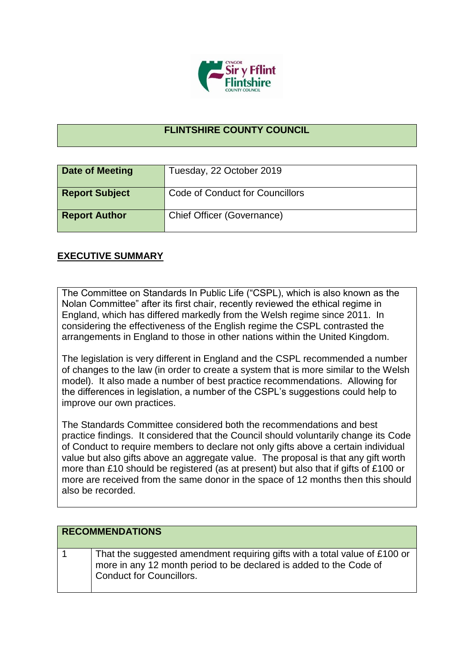

## **FLINTSHIRE COUNTY COUNCIL**

| Date of Meeting       | Tuesday, 22 October 2019          |
|-----------------------|-----------------------------------|
| <b>Report Subject</b> | Code of Conduct for Councillors   |
| <b>Report Author</b>  | <b>Chief Officer (Governance)</b> |

## **EXECUTIVE SUMMARY**

The Committee on Standards In Public Life ("CSPL), which is also known as the Nolan Committee" after its first chair, recently reviewed the ethical regime in England, which has differed markedly from the Welsh regime since 2011. In considering the effectiveness of the English regime the CSPL contrasted the arrangements in England to those in other nations within the United Kingdom.

The legislation is very different in England and the CSPL recommended a number of changes to the law (in order to create a system that is more similar to the Welsh model). It also made a number of best practice recommendations. Allowing for the differences in legislation, a number of the CSPL's suggestions could help to improve our own practices.

The Standards Committee considered both the recommendations and best practice findings. It considered that the Council should voluntarily change its Code of Conduct to require members to declare not only gifts above a certain individual value but also gifts above an aggregate value. The proposal is that any gift worth more than £10 should be registered (as at present) but also that if gifts of £100 or more are received from the same donor in the space of 12 months then this should also be recorded.

| <b>RECOMMENDATIONS</b>                                                                                                                                                              |
|-------------------------------------------------------------------------------------------------------------------------------------------------------------------------------------|
| That the suggested amendment requiring gifts with a total value of £100 or<br>more in any 12 month period to be declared is added to the Code of<br><b>Conduct for Councillors.</b> |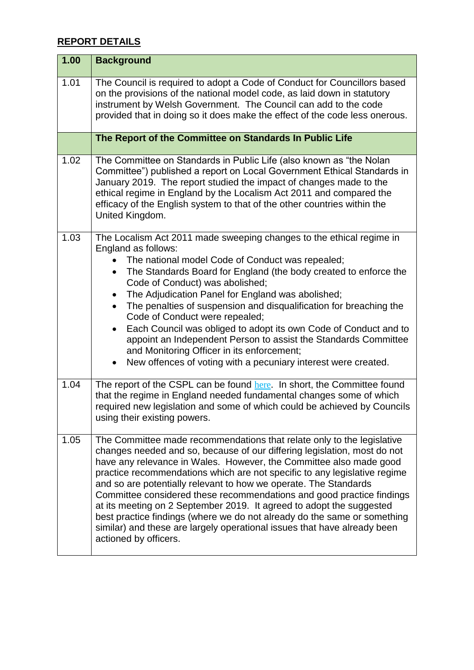## **REPORT DETAILS**

| 1.00 | <b>Background</b>                                                                                                                                                                                                                                                                                                                                                                                                                                                                                                                                                                                                                                                                                                              |
|------|--------------------------------------------------------------------------------------------------------------------------------------------------------------------------------------------------------------------------------------------------------------------------------------------------------------------------------------------------------------------------------------------------------------------------------------------------------------------------------------------------------------------------------------------------------------------------------------------------------------------------------------------------------------------------------------------------------------------------------|
| 1.01 | The Council is required to adopt a Code of Conduct for Councillors based<br>on the provisions of the national model code, as laid down in statutory<br>instrument by Welsh Government. The Council can add to the code<br>provided that in doing so it does make the effect of the code less onerous.                                                                                                                                                                                                                                                                                                                                                                                                                          |
|      | The Report of the Committee on Standards In Public Life                                                                                                                                                                                                                                                                                                                                                                                                                                                                                                                                                                                                                                                                        |
| 1.02 | The Committee on Standards in Public Life (also known as "the Nolan<br>Committee") published a report on Local Government Ethical Standards in<br>January 2019. The report studied the impact of changes made to the<br>ethical regime in England by the Localism Act 2011 and compared the<br>efficacy of the English system to that of the other countries within the<br>United Kingdom.                                                                                                                                                                                                                                                                                                                                     |
| 1.03 | The Localism Act 2011 made sweeping changes to the ethical regime in<br>England as follows:<br>The national model Code of Conduct was repealed;<br>The Standards Board for England (the body created to enforce the<br>$\bullet$<br>Code of Conduct) was abolished;<br>The Adjudication Panel for England was abolished;<br>$\bullet$<br>The penalties of suspension and disqualification for breaching the<br>Code of Conduct were repealed;<br>Each Council was obliged to adopt its own Code of Conduct and to<br>$\bullet$<br>appoint an Independent Person to assist the Standards Committee<br>and Monitoring Officer in its enforcement;<br>New offences of voting with a pecuniary interest were created.<br>$\bullet$ |
| 1.04 | The report of the CSPL can be found here. In short, the Committee found<br>that the regime in England needed fundamental changes some of which<br>required new legislation and some of which could be achieved by Councils<br>using their existing powers.                                                                                                                                                                                                                                                                                                                                                                                                                                                                     |
| 1.05 | The Committee made recommendations that relate only to the legislative<br>changes needed and so, because of our differing legislation, most do not<br>have any relevance in Wales. However, the Committee also made good<br>practice recommendations which are not specific to any legislative regime<br>and so are potentially relevant to how we operate. The Standards<br>Committee considered these recommendations and good practice findings<br>at its meeting on 2 September 2019. It agreed to adopt the suggested<br>best practice findings (where we do not already do the same or something<br>similar) and these are largely operational issues that have already been<br>actioned by officers.                    |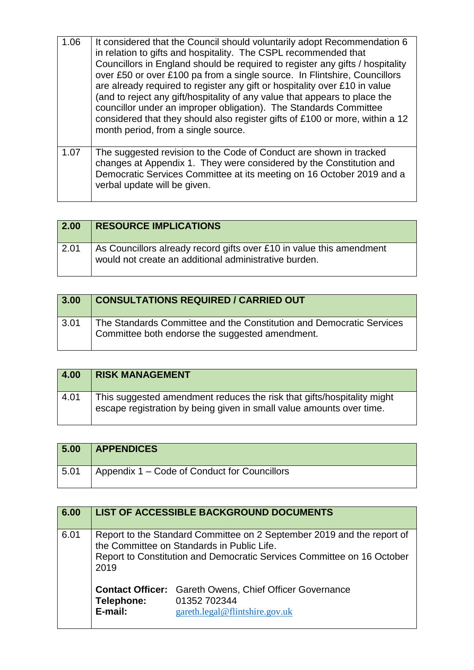| 1.06 | It considered that the Council should voluntarily adopt Recommendation 6<br>in relation to gifts and hospitality. The CSPL recommended that<br>Councillors in England should be required to register any gifts / hospitality<br>over £50 or over £100 pa from a single source. In Flintshire, Councillors<br>are already required to register any gift or hospitality over £10 in value<br>(and to reject any gift/hospitality of any value that appears to place the<br>councillor under an improper obligation). The Standards Committee<br>considered that they should also register gifts of £100 or more, within a 12<br>month period, from a single source. |
|------|-------------------------------------------------------------------------------------------------------------------------------------------------------------------------------------------------------------------------------------------------------------------------------------------------------------------------------------------------------------------------------------------------------------------------------------------------------------------------------------------------------------------------------------------------------------------------------------------------------------------------------------------------------------------|
| 1.07 | The suggested revision to the Code of Conduct are shown in tracked<br>changes at Appendix 1. They were considered by the Constitution and<br>Democratic Services Committee at its meeting on 16 October 2019 and a<br>verbal update will be given.                                                                                                                                                                                                                                                                                                                                                                                                                |

| 2.00 | <b>RESOURCE IMPLICATIONS</b>                                                                                                  |
|------|-------------------------------------------------------------------------------------------------------------------------------|
| 2.01 | As Councillors already record gifts over £10 in value this amendment<br>would not create an additional administrative burden. |

| 3.00 | <b>CONSULTATIONS REQUIRED / CARRIED OUT</b>                                                                             |
|------|-------------------------------------------------------------------------------------------------------------------------|
| 3.01 | The Standards Committee and the Constitution and Democratic Services<br>Committee both endorse the suggested amendment. |

| 4.00 | <b>RISK MANAGEMENT</b>                                                                                                                         |
|------|------------------------------------------------------------------------------------------------------------------------------------------------|
| 4.01 | This suggested amendment reduces the risk that gifts/hospitality might<br>escape registration by being given in small value amounts over time. |

| 5.00 | <b>APPENDICES</b>                            |
|------|----------------------------------------------|
| 5.01 | Appendix 1 – Code of Conduct for Councillors |

| 6.00 |                                                                                                                                                                                                        | <b>LIST OF ACCESSIBLE BACKGROUND DOCUMENTS</b>                                                                   |
|------|--------------------------------------------------------------------------------------------------------------------------------------------------------------------------------------------------------|------------------------------------------------------------------------------------------------------------------|
| 6.01 | Report to the Standard Committee on 2 September 2019 and the report of<br>the Committee on Standards in Public Life.<br>Report to Constitution and Democratic Services Committee on 16 October<br>2019 |                                                                                                                  |
|      | Telephone:<br>E-mail:                                                                                                                                                                                  | <b>Contact Officer:</b> Gareth Owens, Chief Officer Governance<br>01352 702344<br>gareth.legal@flintshire.gov.uk |